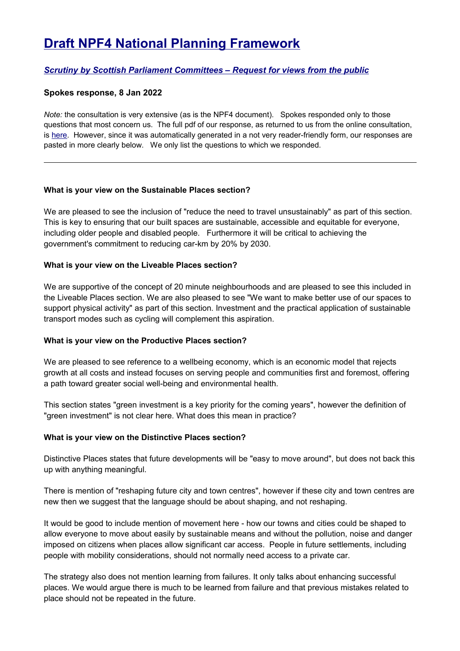# **[Draft NPF4 National Planning Framework](https://www.transformingplanning.scot/national-planning-framework/draft-npf4/?id=3904#?id=3904)**

# *[Scrutiny by Scottish Parliament Committees – Request for views from the public](https://yourviews.parliament.scot/lgc/npf4/)*

### **Spokes response, 8 Jan 2022**

*Note:* the consultation is very extensive (as is the NPF4 document). Spokes responded only to those questions that most concern us. The full pdf of our response, as returned to us from the online consultation, is [here.](http://www.spokes.org.uk/wp-content/uploads/2022/01/2201-NPF4-automated-Spokes-response.pdf) However, since it was automatically generated in a not very reader-friendly form, our responses are pasted in more clearly below. We only list the questions to which we responded.

### **What is your view on the Sustainable Places section?**

We are pleased to see the inclusion of "reduce the need to travel unsustainably" as part of this section. This is key to ensuring that our built spaces are sustainable, accessible and equitable for everyone, including older people and disabled people. Furthermore it will be critical to achieving the government's commitment to reducing car-km by 20% by 2030.

### **What is your view on the Liveable Places section?**

We are supportive of the concept of 20 minute neighbourhoods and are pleased to see this included in the Liveable Places section. We are also pleased to see "We want to make better use of our spaces to support physical activity" as part of this section. Investment and the practical application of sustainable transport modes such as cycling will complement this aspiration.

### **What is your view on the Productive Places section?**

We are pleased to see reference to a wellbeing economy, which is an economic model that rejects growth at all costs and instead focuses on serving people and communities first and foremost, offering a path toward greater social well-being and environmental health.

This section states "green investment is a key priority for the coming years", however the definition of "green investment" is not clear here. What does this mean in practice?

### **What is your view on the Distinctive Places section?**

Distinctive Places states that future developments will be "easy to move around", but does not back this up with anything meaningful.

There is mention of "reshaping future city and town centres", however if these city and town centres are new then we suggest that the language should be about shaping, and not reshaping.

It would be good to include mention of movement here - how our towns and cities could be shaped to allow everyone to move about easily by sustainable means and without the pollution, noise and danger imposed on citizens when places allow significant car access. People in future settlements, including people with mobility considerations, should not normally need access to a private car.

The strategy also does not mention learning from failures. It only talks about enhancing successful places. We would argue there is much to be learned from failure and that previous mistakes related to place should not be repeated in the future.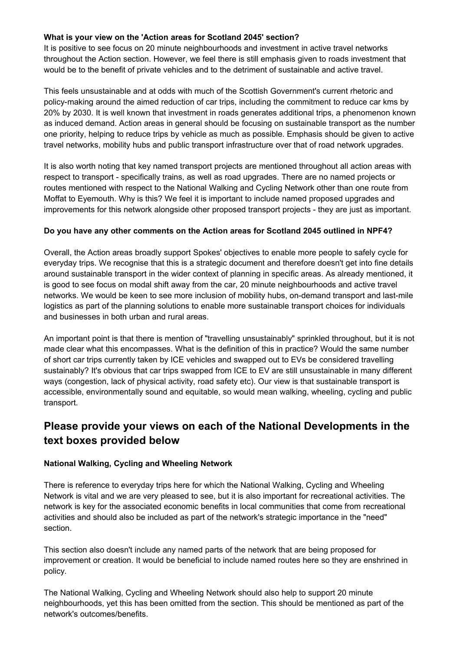### **What is your view on the 'Action areas for Scotland 2045' section?**

It is positive to see focus on 20 minute neighbourhoods and investment in active travel networks throughout the Action section. However, we feel there is still emphasis given to roads investment that would be to the benefit of private vehicles and to the detriment of sustainable and active travel.

This feels unsustainable and at odds with much of the Scottish Government's current rhetoric and policy-making around the aimed reduction of car trips, including the commitment to reduce car kms by 20% by 2030. It is well known that investment in roads generates additional trips, a phenomenon known as induced demand. Action areas in general should be focusing on sustainable transport as the number one priority, helping to reduce trips by vehicle as much as possible. Emphasis should be given to active travel networks, mobility hubs and public transport infrastructure over that of road network upgrades.

It is also worth noting that key named transport projects are mentioned throughout all action areas with respect to transport - specifically trains, as well as road upgrades. There are no named projects or routes mentioned with respect to the National Walking and Cycling Network other than one route from Moffat to Eyemouth. Why is this? We feel it is important to include named proposed upgrades and improvements for this network alongside other proposed transport projects - they are just as important.

### **Do you have any other comments on the Action areas for Scotland 2045 outlined in NPF4?**

Overall, the Action areas broadly support Spokes' objectives to enable more people to safely cycle for everyday trips. We recognise that this is a strategic document and therefore doesn't get into fine details around sustainable transport in the wider context of planning in specific areas. As already mentioned, it is good to see focus on modal shift away from the car, 20 minute neighbourhoods and active travel networks. We would be keen to see more inclusion of mobility hubs, on-demand transport and last-mile logistics as part of the planning solutions to enable more sustainable transport choices for individuals and businesses in both urban and rural areas.

An important point is that there is mention of "travelling unsustainably" sprinkled throughout, but it is not made clear what this encompasses. What is the definition of this in practice? Would the same number of short car trips currently taken by ICE vehicles and swapped out to EVs be considered travelling sustainably? It's obvious that car trips swapped from ICE to EV are still unsustainable in many different ways (congestion, lack of physical activity, road safety etc). Our view is that sustainable transport is accessible, environmentally sound and equitable, so would mean walking, wheeling, cycling and public transport.

# **Please provide your views on each of the National Developments in the text boxes provided below**

### **National Walking, Cycling and Wheeling Network**

There is reference to everyday trips here for which the National Walking, Cycling and Wheeling Network is vital and we are very pleased to see, but it is also important for recreational activities. The network is key for the associated economic benefits in local communities that come from recreational activities and should also be included as part of the network's strategic importance in the "need" section.

This section also doesn't include any named parts of the network that are being proposed for improvement or creation. It would be beneficial to include named routes here so they are enshrined in policy.

The National Walking, Cycling and Wheeling Network should also help to support 20 minute neighbourhoods, yet this has been omitted from the section. This should be mentioned as part of the network's outcomes/benefits.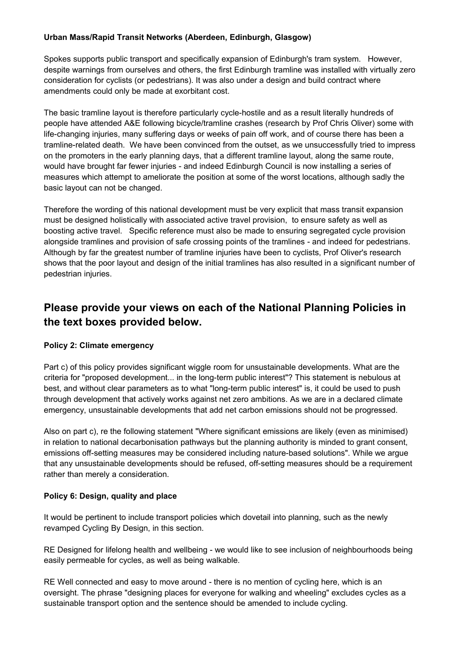# **Urban Mass/Rapid Transit Networks (Aberdeen, Edinburgh, Glasgow)**

Spokes supports public transport and specifically expansion of Edinburgh's tram system. However, despite warnings from ourselves and others, the first Edinburgh tramline was installed with virtually zero consideration for cyclists (or pedestrians). It was also under a design and build contract where amendments could only be made at exorbitant cost.

The basic tramline layout is therefore particularly cycle-hostile and as a result literally hundreds of people have attended A&E following bicycle/tramline crashes (research by Prof Chris Oliver) some with life-changing injuries, many suffering days or weeks of pain off work, and of course there has been a tramline-related death. We have been convinced from the outset, as we unsuccessfully tried to impress on the promoters in the early planning days, that a different tramline layout, along the same route, would have brought far fewer injuries - and indeed Edinburgh Council is now installing a series of measures which attempt to ameliorate the position at some of the worst locations, although sadly the basic layout can not be changed.

Therefore the wording of this national development must be very explicit that mass transit expansion must be designed holistically with associated active travel provision, to ensure safety as well as boosting active travel. Specific reference must also be made to ensuring segregated cycle provision alongside tramlines and provision of safe crossing points of the tramlines - and indeed for pedestrians. Although by far the greatest number of tramline injuries have been to cyclists, Prof Oliver's research shows that the poor layout and design of the initial tramlines has also resulted in a significant number of pedestrian injuries.

# **Please provide your views on each of the National Planning Policies in the text boxes provided below.**

### **Policy 2: Climate emergency**

Part c) of this policy provides significant wiggle room for unsustainable developments. What are the criteria for "proposed development... in the long-term public interest"? This statement is nebulous at best, and without clear parameters as to what "long-term public interest" is, it could be used to push through development that actively works against net zero ambitions. As we are in a declared climate emergency, unsustainable developments that add net carbon emissions should not be progressed.

Also on part c), re the following statement "Where significant emissions are likely (even as minimised) in relation to national decarbonisation pathways but the planning authority is minded to grant consent, emissions off-setting measures may be considered including nature-based solutions". While we argue that any unsustainable developments should be refused, off-setting measures should be a requirement rather than merely a consideration.

### **Policy 6: Design, quality and place**

It would be pertinent to include transport policies which dovetail into planning, such as the newly revamped Cycling By Design, in this section.

RE Designed for lifelong health and wellbeing - we would like to see inclusion of neighbourhoods being easily permeable for cycles, as well as being walkable.

RE Well connected and easy to move around - there is no mention of cycling here, which is an oversight. The phrase "designing places for everyone for walking and wheeling" excludes cycles as a sustainable transport option and the sentence should be amended to include cycling.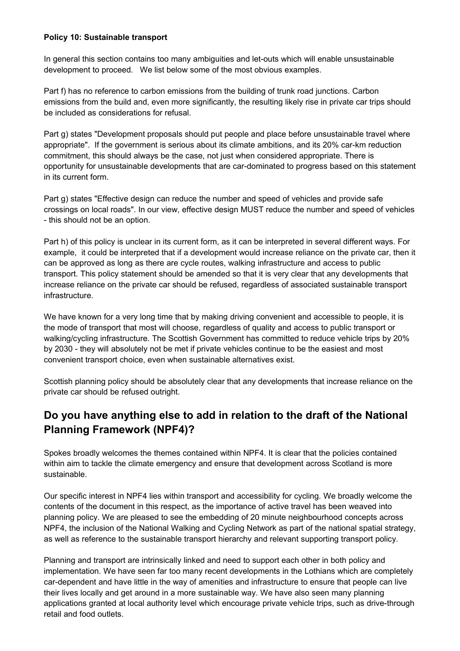### **Policy 10: Sustainable transport**

In general this section contains too many ambiguities and let-outs which will enable unsustainable development to proceed. We list below some of the most obvious examples.

Part f) has no reference to carbon emissions from the building of trunk road junctions. Carbon emissions from the build and, even more significantly, the resulting likely rise in private car trips should be included as considerations for refusal.

Part g) states "Development proposals should put people and place before unsustainable travel where appropriate". If the government is serious about its climate ambitions, and its 20% car-km reduction commitment, this should always be the case, not just when considered appropriate. There is opportunity for unsustainable developments that are car-dominated to progress based on this statement in its current form.

Part g) states "Effective design can reduce the number and speed of vehicles and provide safe crossings on local roads". In our view, effective design MUST reduce the number and speed of vehicles - this should not be an option.

Part h) of this policy is unclear in its current form, as it can be interpreted in several different ways. For example, it could be interpreted that if a development would increase reliance on the private car, then it can be approved as long as there are cycle routes, walking infrastructure and access to public transport. This policy statement should be amended so that it is very clear that any developments that increase reliance on the private car should be refused, regardless of associated sustainable transport infrastructure.

We have known for a very long time that by making driving convenient and accessible to people, it is the mode of transport that most will choose, regardless of quality and access to public transport or walking/cycling infrastructure. The Scottish Government has committed to reduce vehicle trips by 20% by 2030 - they will absolutely not be met if private vehicles continue to be the easiest and most convenient transport choice, even when sustainable alternatives exist.

Scottish planning policy should be absolutely clear that any developments that increase reliance on the private car should be refused outright.

# **Do you have anything else to add in relation to the draft of the National Planning Framework (NPF4)?**

Spokes broadly welcomes the themes contained within NPF4. It is clear that the policies contained within aim to tackle the climate emergency and ensure that development across Scotland is more sustainable.

Our specific interest in NPF4 lies within transport and accessibility for cycling. We broadly welcome the contents of the document in this respect, as the importance of active travel has been weaved into planning policy. We are pleased to see the embedding of 20 minute neighbourhood concepts across NPF4, the inclusion of the National Walking and Cycling Network as part of the national spatial strategy, as well as reference to the sustainable transport hierarchy and relevant supporting transport policy.

Planning and transport are intrinsically linked and need to support each other in both policy and implementation. We have seen far too many recent developments in the Lothians which are completely car-dependent and have little in the way of amenities and infrastructure to ensure that people can live their lives locally and get around in a more sustainable way. We have also seen many planning applications granted at local authority level which encourage private vehicle trips, such as drive-through retail and food outlets.